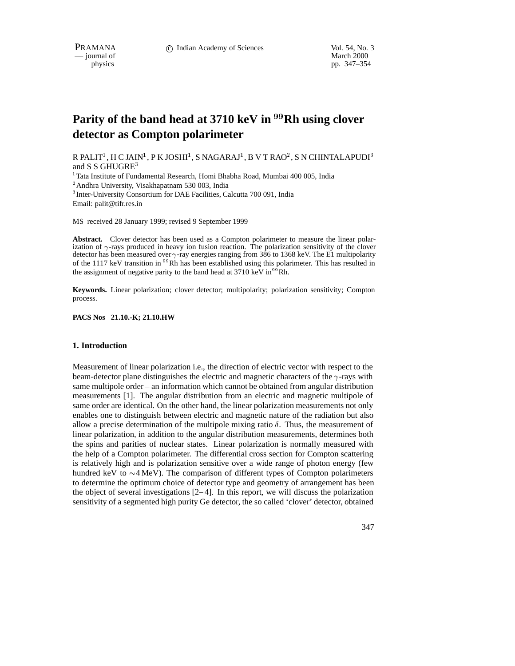

pp. 347–354

# Parity of the band head at 3710 keV in <sup>99</sup>Rh using clover **detector as Compton polarimeter**

R PALIT $^1$ , H C JAIN $^1$ , P K JOSHI $^1$ , S NAGARAJ $^1$ , B V T RAO $^2$ , S N CHINTALAPUDI $^3$ and S S GHUGRE<sup>3</sup>

<sup>1</sup> Tata Institute of Fundamental Research, Homi Bhabha Road, Mumbai 400 005, India

<sup>2</sup> Andhra University, Visakhapatnam 530 003, India

<sup>3</sup> Inter-University Consortium for DAE Facilities, Calcutta 700 091, India Email: palit@tifr.res.in

MS received 28 January 1999; revised 9 September 1999

**Abstract.** Clover detector has been used as a Compton polarimeter to measure the linear polarization of  $\gamma$ -rays produced in heavy ion fusion reaction. The polarization sensitivity of the clover detector has been measured over  $\gamma$ -ray energies ranging from 386 to 1368 keV. The E1 multipolarity of the 1117 keV transition in <sup>99</sup>Rh has been established using this polarimeter. This has resulted in the assignment of negative parity to the band head at  $3710 \text{ keV in}^{99}$ Rh.

**Keywords.** Linear polarization; clover detector; multipolarity; polarization sensitivity; Compton process.

**PACS Nos 21.10.-K; 21.10.HW**

## **1. Introduction**

Measurement of linear polarization i.e., the direction of electric vector with respect to the beam-detector plane distinguishes the electric and magnetic characters of the  $\gamma$ -rays with same multipole order – an information which cannot be obtained from angular distribution measurements [1]. The angular distribution from an electric and magnetic multipole of same order are identical. On the other hand, the linear polarization measurements not only enables one to distinguish between electric and magnetic nature of the radiation but also allow a precise determination of the multipole mixing ratio  $\delta$ . Thus, the measurement of linear polarization, in addition to the angular distribution measurements, determines both the spins and parities of nuclear states. Linear polarization is normally measured with the help of a Compton polarimeter. The differential cross section for Compton scattering is relatively high and is polarization sensitive over a wide range of photon energy (few hundred keV to  $\sim$ 4 MeV). The comparison of different types of Compton polarimeters to determine the optimum choice of detector type and geometry of arrangement has been the object of several investigations  $[2-4]$ . In this report, we will discuss the polarization sensitivity of a segmented high purity Ge detector, the so called 'clover' detector, obtained

347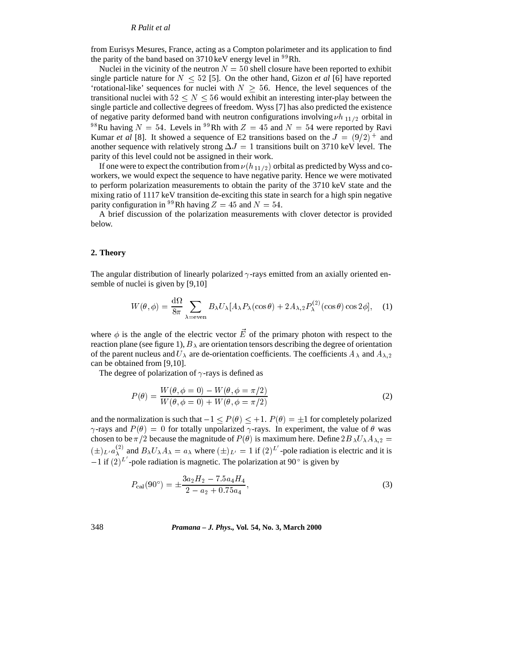#### *R Palit et al*

from Eurisys Mesures, France, acting as a Compton polarimeter and its application to find the parity of the band based on  $3710 \,\text{keV}$  energy level in  $^{99}$ Rh.

Nuclei in the vicinity of the neutron  $N = 50$  shell closure have been reported to exhibit single particle nature for  $N \leq 52$  [5]. On the other hand, Gizon *et al* [6] have reported 'rotational-like' sequences for nuclei with  $N \geq 56$ . Hence, the level sequences of the transitional nuclei with  $52 \le N \le 56$  would exhibit an interesting inter-play between the single particle and collective degrees of freedom. Wyss [7] has also predicted the existence of negative parity deformed band with neutron configurations involving  $\nu h_{11/2}$  orbital in <sup>98</sup>Ru having  $N = 54$ . Levels in <sup>99</sup>Rh with  $Z = 45$  and  $N = 54$  were reported by Ravi Kumar *et al* [8]. It showed a sequence of E2 transitions based on the  $J = (9/2)^{+}$  and another sequence with relatively strong  $\Delta J = 1$  transitions built on 3710 keV level. The parity of this level could not be assigned in their work.

If one were to expect the contribution from  $\nu(h_{11/2})$  orbital as predicted by Wyss and coworkers, we would expect the sequence to have negative parity. Hence we were motivated to perform polarization measurements to obtain the parity of the 3710 keV state and the mixing ratio of 1117 keV transition de-exciting this state in search for a high spin negative parity configuration in <sup>99</sup>Rh having  $Z = 45$  and  $N = 54$ .

A brief discussion of the polarization measurements with clover detector is provided below.

#### **2. Theory**

The angular distribution of linearly polarized  $\gamma$ -rays emitted from an axially oriented ensemble of nuclei is given by [9,10]

$$
W(\theta,\phi) = \frac{d\Omega}{8\pi} \sum_{\lambda = \text{even}} B_{\lambda} U_{\lambda} [A_{\lambda} P_{\lambda}(\cos\theta) + 2A_{\lambda,2} P_{\lambda}^{(2)}(\cos\theta)\cos 2\phi], \quad (1)
$$

where  $\phi$  is the angle of the electric vector  $\vec{E}$  of the primary photon with respect to the reaction plane (see figure 1),  $B_{\lambda}$  are orientation tensors describing the degree of orientation of the parent nucleus and  $U_{\lambda}$  are de-orientation coefficients. The coefficients  $A_{\lambda}$  and  $A_{\lambda,2}$ can be obtained from [9,10].

The degree of polarization of  $\gamma$ -rays is defined as

$$
P(\theta) = \frac{W(\theta, \phi = 0) - W(\theta, \phi = \pi/2)}{W(\theta, \phi = 0) + W(\theta, \phi = \pi/2)}
$$
(2)

and the normalization is such that  $-1 < P(\theta) < +1$ .  $P(\theta) = \pm 1$  for completely polarized  $\gamma$ -rays and  $P(\theta) = 0$  for totally unpolarized  $\gamma$ -rays. In experiment, the value of  $\theta$  was chosen to be  $\pi/2$  because the magnitude of  $P(\theta)$  is maximum here. Define  $2B_\lambda U_\lambda A_{\lambda,2} =$  $(\pm)_{L'} a_{\lambda}^{(2)}$  and  $B_{\lambda} U_{\lambda} A_{\lambda} = a_{\lambda}$  where  $(\pm)_{L'} = 1$  if  $(2)^{L'}$ -pole radiation is electric and it is  $-1$  if  $(2)^{L}$  -pole radiation is magnetic. The polarization at 90 $^{\circ}$  is given by

$$
P_{\text{cal}}(90^{\circ}) = \pm \frac{3a_2 H_2 - 7.5a_4 H_4}{2 - a_2 + 0.75a_4},\tag{3}
$$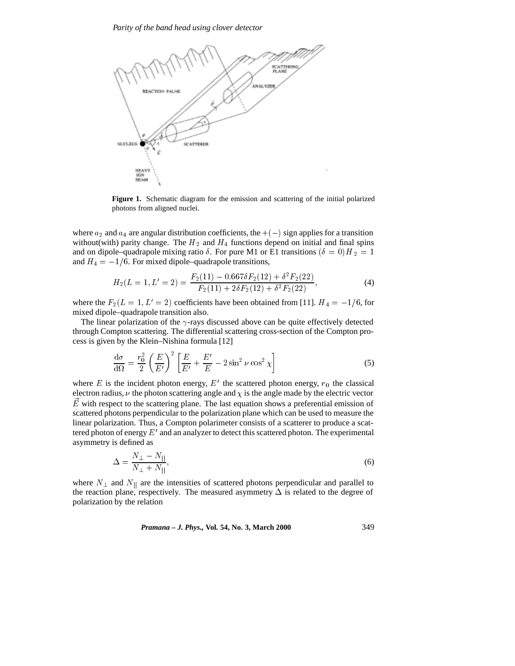

**Figure 1.** Schematic diagram for the emission and scattering of the initial polarized photons from aligned nuclei.

where  $a_2$  and  $a_4$  are angular distribution coefficients, the  $+(-)$  sign applies for a transition without(with) parity change. The  $H_2$  and  $H_4$  functions depend on initial and final spins and on dipole–quadrapole mixing ratio  $\delta$ . For pure M1 or E1 transitions ( $\delta = 0/H_2 = 1$ and  $H_4 = -1/6$ . For mixed dipole–quadrapole transitions,

$$
H_2(L=1, L'=2) = \frac{F_2(11) - 0.667\delta F_2(12) + \delta^2 F_2(22)}{F_2(11) + 2\delta F_2(12) + \delta^2 F_2(22)},
$$
\n(4)

where the  $F_2(L = 1, L' = 2)$  coefficients have been obtained from [11].  $H_4 = -1/6$ , for mixed dipole–quadrapole transition also.

The linear polarization of the  $\gamma$ -rays discussed above can be quite effectively detected through Compton scattering. The differential scattering cross-section of the Compton process is given by the Klein–Nishina formula [12]

$$
\frac{\mathrm{d}\sigma}{\mathrm{d}\Omega} = \frac{r_0^2}{2} \left(\frac{E}{E'}\right)^2 \left[\frac{E}{E'} + \frac{E'}{E} - 2\sin^2 \nu \cos^2 \chi\right]
$$
\n(5)

where E is the incident photon energy,  $E'$  the scattered photon energy,  $r_0$  the classical electron radius,  $\nu$  the photon scattering angle and  $\chi$  is the angle made by the electric vector  $\vec{E}$  with respect to the scattering plane. The last equation shows a preferential emission of scattered photons perpendicular to the polarization plane which can be used to measure the linear polarization. Thus, a Compton polarimeter consists of a scatterer to produce a scattered photon of energy  $E'$  and an analyzer to detect this scattered photon. The experimental asymmetry is defined as

$$
\Delta = \frac{N_{\perp} - N_{||}}{N_{\perp} + N_{||}},\tag{6}
$$

where  $N_{\perp}$  and  $N_{\parallel}$  are the intensities of scattered photons perpendicular and parallel to the reaction plane, respectively. The measured asymmetry  $\Delta$  is related to the degree of polarization by the relation

*Pramana – J. Phys.,* **Vol. 54, No. 3, March 2000** 349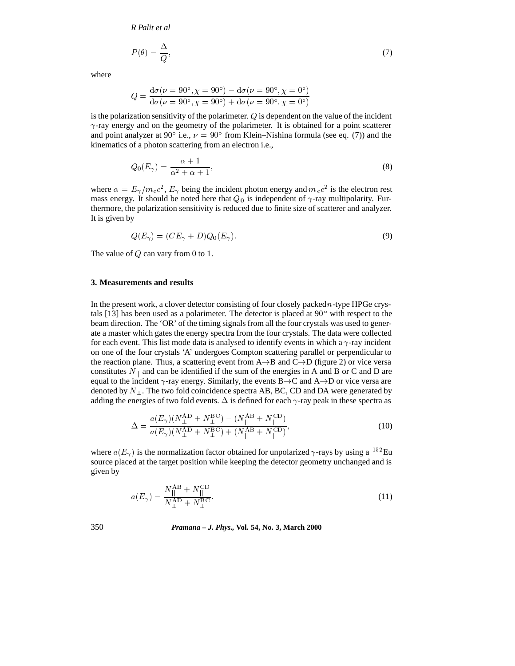*R Palit et al*

$$
P(\theta) = \frac{\Delta}{Q},\tag{7}
$$

where

$$
Q = \frac{d\sigma(\nu = 90^{\circ}, \chi = 90^{\circ}) - d\sigma(\nu = 90^{\circ}, \chi = 0^{\circ})}{d\sigma(\nu = 90^{\circ}, \chi = 90^{\circ}) + d\sigma(\nu = 90^{\circ}, \chi = 0^{\circ})}
$$

is the polarization sensitivity of the polarimeter.  $Q$  is dependent on the value of the incident  $\gamma$ -ray energy and on the geometry of the polarimeter. It is obtained for a point scatterer and point analyzer at 90 $^{\circ}$  i.e.,  $\nu = 90^{\circ}$  from Klein–Nishina formula (see eq. (7)) and the kinematics of a photon scattering from an electron i.e.,

$$
Q_0(E_\gamma) = \frac{\alpha + 1}{\alpha^2 + \alpha + 1},\tag{8}
$$

where  $\alpha = E_{\gamma}/m_e c^2$ ,  $E_{\gamma}$  being the incident photon energy and  $m_e c^2$  is the electron rest mass energy. It should be noted here that  $Q_0$  is independent of  $\gamma$ -ray multipolarity. Furthermore, the polarization sensitivity is reduced due to finite size of scatterer and analyzer. It is given by

$$
Q(E_{\gamma}) = (CE_{\gamma} + D)Q_0(E_{\gamma}).
$$
\n(9)

The value of  $Q$  can vary from 0 to 1.

#### **3. Measurements and results**

In the present work, a clover detector consisting of four closely packed  $n$ -type HPGe crystals [13] has been used as a polarimeter. The detector is placed at  $90^{\circ}$  with respect to the beam direction. The 'OR' of the timing signals from all the four crystals was used to generate a master which gates the energy spectra from the four crystals. The data were collected for each event. This list mode data is analysed to identify events in which a  $\gamma$ -ray incident on one of the four crystals 'A' undergoes Compton scattering parallel or perpendicular to the reaction plane. Thus, a scattering event from  $A \rightarrow B$  and  $C \rightarrow D$  (figure 2) or vice versa constitutes  $N_{\parallel}$  and can be identified if the sum of the energies in A and B or C and D are equal to the incident  $\gamma$ -ray energy. Similarly, the events  $B \rightarrow C$  and  $A \rightarrow D$  or vice versa are denoted by  $N_{\perp}$ . The two fold coincidence spectra AB, BC, CD and DA were generated by adding the energies of two fold events.  $\Delta$  is defined for each  $\gamma$ -ray peak in these spectra as

$$
\Delta = \frac{a(E_{\gamma})(N_{\perp}^{\rm AD} + N_{\perp}^{\rm BC}) - (N_{||}^{\rm AB} + N_{||}^{\rm CD})}{a(E_{\gamma})(N_{\perp}^{\rm AD} + N_{\perp}^{\rm BC}) + (N_{||}^{\rm AB} + N_{||}^{\rm CD})},\tag{10}
$$

where  $a(E_{\gamma})$  is the normalization factor obtained for unpolarized  $\gamma$ -rays by using a <sup>152</sup>Eu source placed at the target position while keeping the detector geometry unchanged and is given by

$$
a(E_{\gamma}) = \frac{N_{\parallel}^{\text{AB}} + N_{\parallel}^{\text{CD}}}{N_{\perp}^{\text{AD}} + N_{\perp}^{\text{BC}}}.
$$
\n(11)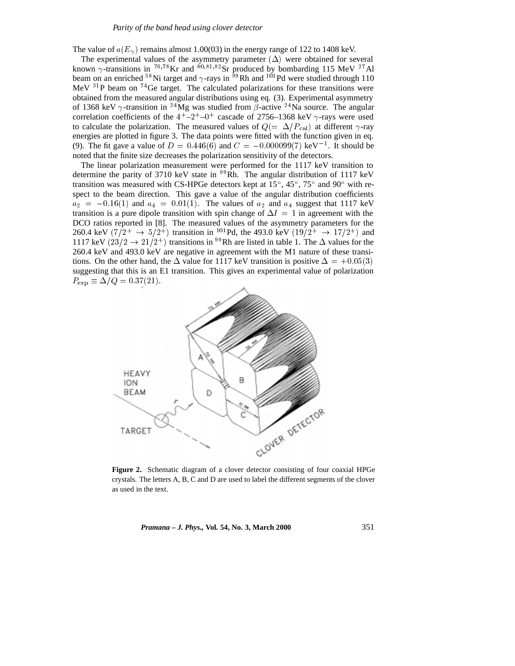The value of  $a(E_\gamma)$  remains almost 1.00(03) in the energy range of 122 to 1408 keV.

The experimental values of the asymmetry parameter  $(\Delta)$  were obtained for several known  $\gamma$ -transitions in <sup>76,78</sup>Kr and <sup>80,81,82</sup>Sr produced by bombarding 115 MeV <sup>27</sup>Al beam on an enriched <sup>58</sup>Ni target and  $\gamma$ -rays in <sup>59</sup>Rh and <sup>101</sup>Pd were studied through 110 MeV  $^{31}P$  beam on  $^{74}Ge$  target. The calculated polarizations for these transitions were obtained from the measured angular distributions using eq. (3). Experimental asymmetry of 1368 keV  $\gamma$ -transition in <sup>24</sup>Mg was studied from  $\beta$ -active <sup>24</sup>Na source. The angular correlation coefficients of the  $4^+$ - $2^+$ - $0^+$  cascade of 2756–1368 keV  $\gamma$ -rays were used to calculate the polarization. The measured values of  $Q = \Delta/P_{\rm cal}$  at different  $\gamma$ -ray energies are plotted in figure 3. The data points were fitted with the function given in eq. (9). The fit gave a value of  $D = 0.446(6)$  and  $C = -0.000099(7) \text{ keV}^{-1}$ . It should be noted that the finite size decreases the polarization sensitivity of the detectors.

The linear polarization measurement were performed for the 1117 keV transition to determine the parity of 3710 keV state in  $^{99}$ Rh. The angular distribution of 1117 keV transition was measured with CS-HPGe detectors kept at 15 $^{\circ}$ , 45 $^{\circ}$ , 75 $^{\circ}$  and 90 $^{\circ}$  with respect to the beam direction. This gave a value of the angular distribution coefficients  $a_2 = -0.16(1)$  and  $a_4 = 0.01(1)$ . The values of  $a_2$  and  $a_4$  suggest that 1117 keV transition is a pure dipole transition with spin change of  $\Delta I = 1$  in agreement with the DCO ratios reported in [8]. The measured values of the asymmetry parameters for the 260.4 keV  $(7/2^+ \rightarrow 5/2^+)$  transition in <sup>101</sup> Pd, the 493.0 keV  $(19/2^+ \rightarrow 17/2^+)$  and 1117 keV  $(23/2 \rightarrow 21/2^+)$  transitions in <sup>99</sup>Rh are listed in table 1. The  $\Delta$  values for the 260.4 keV and 493.0 keV are negative in agreement with the M1 nature of these transitions. On the other hand, the  $\Delta$  value for 1117 keV transition is positive  $\Delta = +0.05(3)$ suggesting that this is an E1 transition. This gives an experimental value of polarization  $P_{\rm exp} \equiv \Delta/Q = 0.37(21).$ 



**Figure 2.** Schematic diagram of a clover detector consisting of four coaxial HPGe crystals. The letters A, B, C and D are used to label the different segments of the clover as used in the text.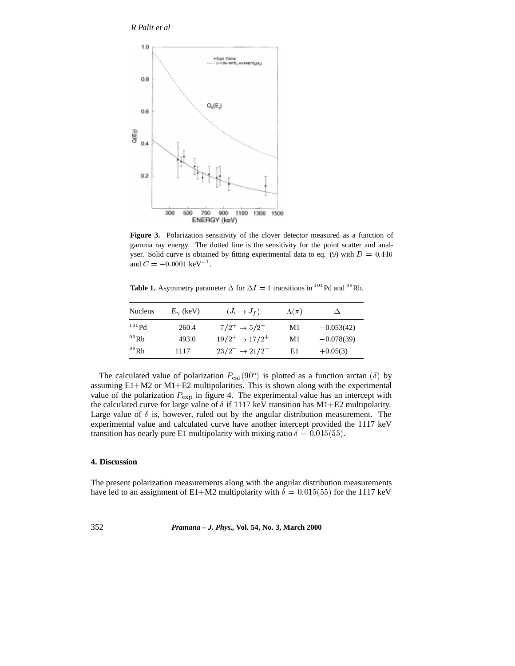# *R Palit et al*



**Figure 3.** Polarization sensitivity of the clover detector measured as a function of gamma ray energy. The dotted line is the sensitivity for the point scatter and analyser. Solid curve is obtained by fitting experimental data to eq. (9) with  $D = 0.446$ and  $C = -0.0001 \text{ keV}^{-1}$ .

**Table 1.** Asymmetry parameter  $\Delta$  for  $\Delta I = 1$  transitions in <sup>101</sup>Pd and <sup>99</sup>Rh.

| <b>Nucleus</b> | $E_{\gamma}$ (keV) | $(J_i \rightarrow J_f)$     | $\Lambda(\pi)$ |              |
|----------------|--------------------|-----------------------------|----------------|--------------|
| $101$ Pd       | 260.4              | $7/2^+ \rightarrow 5/2^+$   | M1             | $-0.053(42)$ |
| $^{99}$ Rh     | 493.0              | $19/2^+ \rightarrow 17/2^+$ | M1             | $-0.078(39)$ |
| $^{99}$ Rh     | 1117               | $23/2^- \rightarrow 21/2^+$ | E1             | $+0.05(3)$   |

The calculated value of polarization  $P_{\text{cal}}(90^{\circ})$  is plotted as a function arctan  $(\delta)$  by assuming E1+M2 or M1+E2 multipolarities. This is shown along with the experimental value of the polarization  $P_{\text{exp}}$  in figure 4. The experimental value has an intercept with the calculated curve for large value of  $\delta$  if 1117 keV transition has M1+E2 multipolarity. Large value of  $\delta$  is, however, ruled out by the angular distribution measurement. The experimental value and calculated curve have another intercept provided the 1117 keV transition has nearly pure E1 multipolarity with mixing ratio  $\delta = 0.015(55)$ .

## **4. Discussion**

The present polarization measurements along with the angular distribution measurements have led to an assignment of E1+M2 multipolarity with  $\delta = 0.015(55)$  for the 1117 keV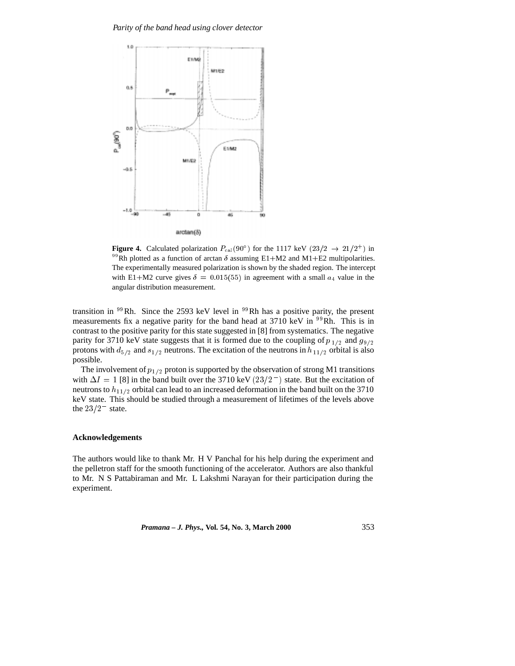

**Figure 4.** Calculated polarization  $P_{\text{cal}}(90^{\circ})$  for the 1117 keV  $(23/2 \rightarrow 21/2^+)$  in <sup>99</sup>Rh plotted as a function of arctan  $\delta$  assuming E1+M2 and M1+E2 multipolarities. The experimentally measured polarization is shown by the shaded region. The intercept with E1+M2 curve gives  $\delta = 0.015(55)$  in agreement with a small  $a_4$  value in the angular distribution measurement.

transition in  $^{99}$ Rh. Since the 2593 keV level in  $^{99}$ Rh has a positive parity, the present measurements fix a negative parity for the band head at 3710 keV in <sup>99</sup>Rh. This is in contrast to the positive parity for this state suggested in [8] from systematics. The negative parity for 3710 keV state suggests that it is formed due to the coupling of  $p_{1/2}$  and  $g_{9/2}$ protons with  $d_{5/2}$  and  $s_{1/2}$  neutrons. The excitation of the neutrons in  $h_{11/2}$  orbital is also possible.

The involvement of  $p_{1/2}$  proton is supported by the observation of strong M1 transitions with  $\Delta I = 1$  [8] in the band built over the 3710 keV (23/2<sup>-</sup>) state. But the excitation of neutrons to  $h_{11/2}$  orbital can lead to an increased deformation in the band built on the 3710 keV state. This should be studied through a measurement of lifetimes of the levels above the  $23/2^-$  state.

#### **Acknowledgements**

The authors would like to thank Mr. H V Panchal for his help during the experiment and the pelletron staff for the smooth functioning of the accelerator. Authors are also thankful to Mr. N S Pattabiraman and Mr. L Lakshmi Narayan for their participation during the experiment.

*Pramana – J. Phys.,* **Vol. 54, No. 3, March 2000** 353